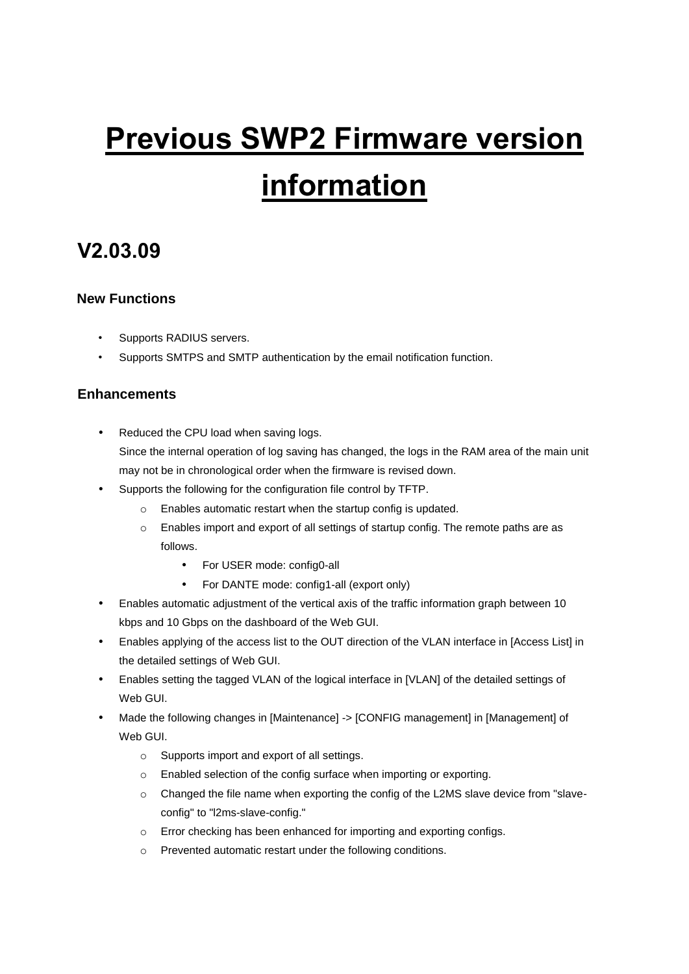# **Previous SWP2 Firmware version information**

### **V2.03.09**

### **New Functions**

- Supports RADIUS servers.
- Supports SMTPS and SMTP authentication by the email notification function.

### **Enhancements**

- Reduced the CPU load when saving logs. Since the internal operation of log saving has changed, the logs in the RAM area of the main unit may not be in chronological order when the firmware is revised down.
- Supports the following for the configuration file control by TFTP.
	- o Enables automatic restart when the startup config is updated.
	- o Enables import and export of all settings of startup config. The remote paths are as follows.
		- For USER mode: config0-all
		- For DANTE mode: config1-all (export only)
- Enables automatic adjustment of the vertical axis of the traffic information graph between 10 kbps and 10 Gbps on the dashboard of the Web GUI.
- Enables applying of the access list to the OUT direction of the VLAN interface in [Access List] in the detailed settings of Web GUI.
- Enables setting the tagged VLAN of the logical interface in [VLAN] of the detailed settings of Web GUI.
- Made the following changes in [Maintenance] -> [CONFIG management] in [Management] of Web GUI.
	- o Supports import and export of all settings.
	- o Enabled selection of the config surface when importing or exporting.
	- o Changed the file name when exporting the config of the L2MS slave device from "slaveconfig" to "l2ms-slave-config."
	- o Error checking has been enhanced for importing and exporting configs.
	- o Prevented automatic restart under the following conditions.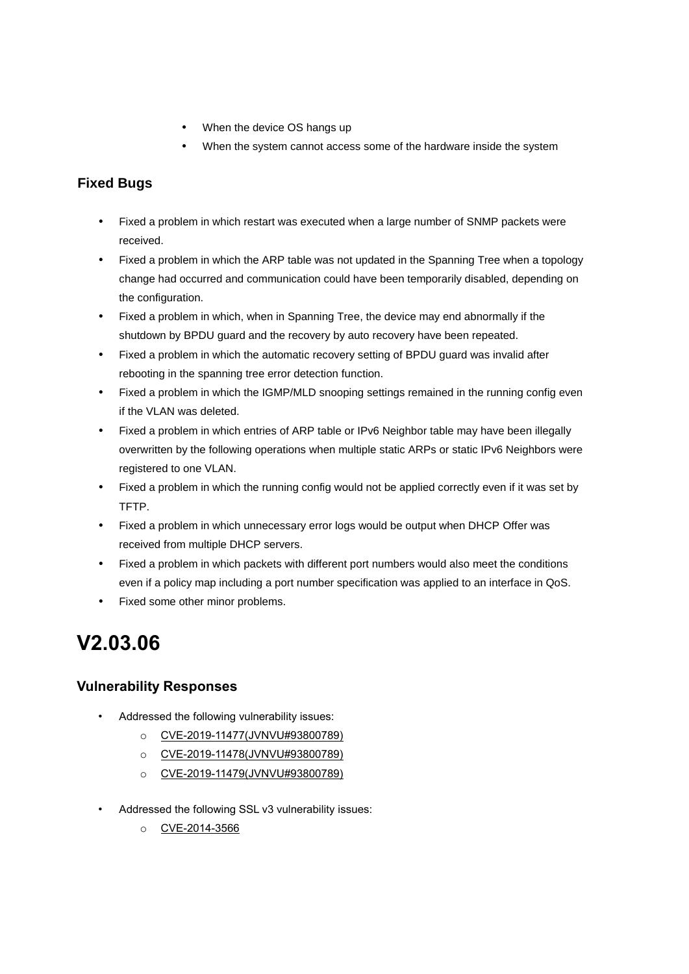- When the device OS hangs up
- When the system cannot access some of the hardware inside the system

### **Fixed Bugs**

- Fixed a problem in which restart was executed when a large number of SNMP packets were received.
- Fixed a problem in which the ARP table was not updated in the Spanning Tree when a topology change had occurred and communication could have been temporarily disabled, depending on the configuration.
- Fixed a problem in which, when in Spanning Tree, the device may end abnormally if the shutdown by BPDU guard and the recovery by auto recovery have been repeated.
- Fixed a problem in which the automatic recovery setting of BPDU guard was invalid after rebooting in the spanning tree error detection function.
- Fixed a problem in which the IGMP/MLD snooping settings remained in the running config even if the VLAN was deleted.
- Fixed a problem in which entries of ARP table or IPv6 Neighbor table may have been illegally overwritten by the following operations when multiple static ARPs or static IPv6 Neighbors were registered to one VLAN.
- Fixed a problem in which the running config would not be applied correctly even if it was set by TFTP.
- Fixed a problem in which unnecessary error logs would be output when DHCP Offer was received from multiple DHCP servers.
- Fixed a problem in which packets with different port numbers would also meet the conditions even if a policy map including a port number specification was applied to an interface in QoS.
- Fixed some other minor problems.

## **V2.03.06**

### **Vulnerability Responses**

- Addressed the following vulnerability issues:
	- o [CVE-2019-11477\(JVNVU#93800789\)](https://nvd.nist.gov/vuln/detail/CVE-2019-11477)
	- o [CVE-2019-11478\(JVNVU#93800789\)](https://nvd.nist.gov/vuln/detail/CVE-2019-11478)
	- o [CVE-2019-11479\(JVNVU#93800789\)](https://nvd.nist.gov/vuln/detail/CVE-2019-11479)
- Addressed the following SSL v3 vulnerability issues:
	- o [CVE-2014-3566](https://nvd.nist.gov/vuln/detail/CVE-2014-3566)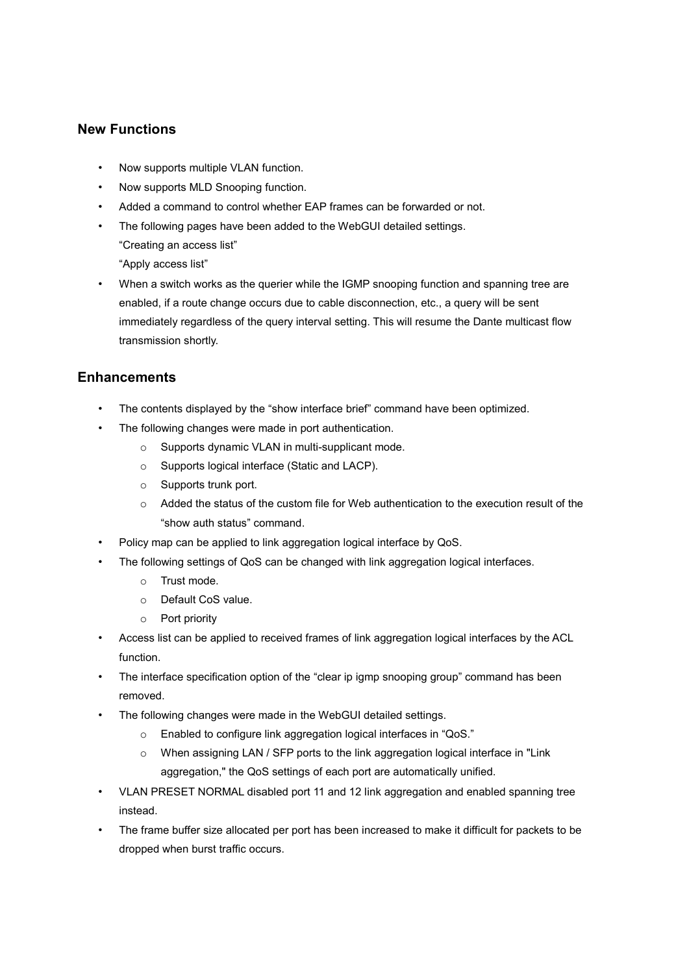#### **New Functions**

- Now supports multiple VLAN function.
- Now supports MLD Snooping function.
- Added a command to control whether EAP frames can be forwarded or not.
- The following pages have been added to the WebGUI detailed settings.
	- "Creating an access list"
	- "Apply access list"
- When a switch works as the querier while the IGMP snooping function and spanning tree are enabled, if a route change occurs due to cable disconnection, etc., a query will be sent immediately regardless of the query interval setting. This will resume the Dante multicast flow transmission shortly.

### **Enhancements**

- The contents displayed by the "show interface brief" command have been optimized.
- The following changes were made in port authentication.
	- o Supports dynamic VLAN in multi-supplicant mode.
	- o Supports logical interface (Static and LACP).
	- o Supports trunk port.
	- o Added the status of the custom file for Web authentication to the execution result of the "show auth status" command.
- Policy map can be applied to link aggregation logical interface by QoS.
- The following settings of QoS can be changed with link aggregation logical interfaces.
	- o Trust mode.
	- o Default CoS value.
	- o Port priority
- Access list can be applied to received frames of link aggregation logical interfaces by the ACL function.
- The interface specification option of the "clear ip igmp snooping group" command has been removed.
- The following changes were made in the WebGUI detailed settings.
	- o Enabled to configure link aggregation logical interfaces in "QoS."
	- o When assigning LAN / SFP ports to the link aggregation logical interface in "Link aggregation," the QoS settings of each port are automatically unified.
- VLAN PRESET NORMAL disabled port 11 and 12 link aggregation and enabled spanning tree instead.
- The frame buffer size allocated per port has been increased to make it difficult for packets to be dropped when burst traffic occurs.